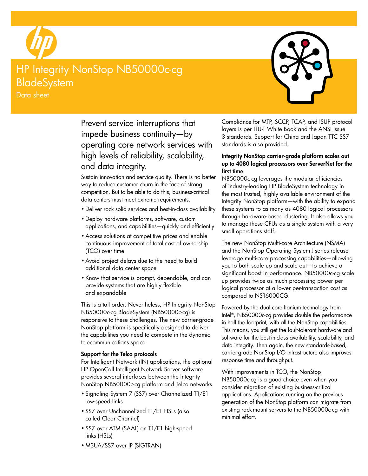

# HP Integrity NonStop NB50000c-cg BladeSystem

Data sheet



Prevent service interruptions that impede business continuity—by operating core network services with high levels of reliability, scalability, and data integrity.

Sustain innovation and service quality. There is no better way to reduce customer churn in the face of strong competition. But to be able to do this, business-critical data centers must meet extreme requirements.

- • Deliver rock solid services and best-in-class availability
- • Deploy hardware platforms, software, custom applications, and capabilities—quickly and efficiently
- Access solutions at competitive prices and enable continuous improvement of total cost of ownership (TCO) over time
- • Avoid project delays due to the need to build additional data center space
- • Know that service is prompt, dependable, and can provide systems that are highly flexible and expandable

This is a tall order. Nevertheless, HP Integrity NonStop NB50000c-cg BladeSystem (NB50000c-cg) is responsive to these challenges. The new carrier-grade NonStop platform is specifically designed to deliver the capabilities you need to compete in the dynamic telecommunications space.

#### Support for the Telco protocols

For Intelligent Network (IN) applications, the optional HP OpenCall Intelligent Network Server software provides several interfaces between the Integrity NonStop NB50000c-cg platform and Telco networks.

- Signaling System 7 (SS7) over Channelized T1/E1 low-speed links
- SS7 over Unchannelized T1/E1 HSLs (also called Clear Channel)
- • SS7 over ATM (SAAL) on T1/E1 high-speed links (HSLs)
- • M3UA/SS7 over IP (SIGTRAN)

Compliance for MTP, SCCP, TCAP, and ISUP protocol layers is per ITU-T White Book and the ANSI Issue 3 standards. Support for China and Japan TTC SS7 standards is also provided.

#### Integrity NonStop carrier-grade platform scales out up to 4080 logical processors over ServerNet for the first time

NB50000c-cg leverages the modular efficiencies of industry-leading HP BladeSystem technology in the most trusted, highly available environment of the Integrity NonStop platform—with the ability to expand these systems to as many as 4080 logical processors through hardware-based clustering. It also allows you to manage these CPUs as a single system with a very small operations staff.

The new NonStop Multi-core Architecture (NSMA) and the NonStop Operating System J-series release leverage multi-core processing capabilities—allowing you to both scale up and scale out—to achieve a significant boost in performance. NB50000c-cg scale up provides twice as much processing power per logical processor at a lower per-transaction cost as compared to NS16000CG.

Powered by the dual core Itanium technology from Intel®, NB50000c-cg provides double the performance in half the footprint, with all the NonStop capabilities. This means, you still get the fault-tolerant hardware and software for the best-in-class availability, scalability, and data integrity. Then again, the new standards-based, carrier-grade NonStop I/O infrastructure also improves response time and throughput.

With improvements in TCO, the NonStop NB50000c-cg is a good choice even when you consider migration of existing business-critical applications. Applications running on the previous generation of the NonStop platform can migrate from existing rack-mount servers to the NB50000c-cg with minimal effort.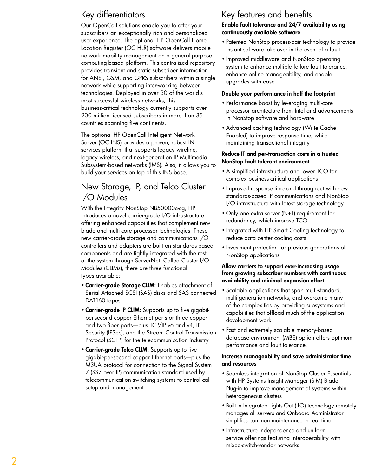# Key differentiators

Our OpenCall solutions enable you to offer your subscribers an exceptionally rich and personalized user experience. The optional HP OpenCall Home Location Register (OC HLR) software delivers mobile network mobility management on a general-purpose computing-based platform. This centralized repository provides transient and static subscriber information for ANSI, GSM, and GPRS subscribers within a single network while supporting inter-working between technologies. Deployed in over 30 of the world's most successful wireless networks, this business-critical technology currently supports over 200 million licensed subscribers in more than 35 countries spanning five continents.

The optional HP OpenCall Intelligent Network Server (OC INS) provides a proven, robust IN services platform that supports legacy wireline, legacy wireless, and next-generation IP Multimedia Subsystem-based networks (IMS). Also, it allows you to build your services on top of this INS base.

# New Storage, IP, and Telco Cluster I/O Modules

With the Integrity NonStop NB50000c-cg, HP introduces a novel carrier-grade I/O infrastructure offering enhanced capabilities that complement new blade and multi-core processor technologies. These new carrier-grade storage and communications I/O controllers and adapters are built on standards-based components and are tightly integrated with the rest of the system through ServerNet. Called Cluster I/O Modules (CLIMs), there are three functional types available:

- Carrier-grade Storage CLIM: Enables attachment of Serial Attached SCSI (SAS) disks and SAS connected DAT160 tapes
- Carrier-grade IP CLIM: Supports up to five gigabitper-second copper Ethernet ports or three copper and two fiber ports—plus TCP/IP v6 and v4, IP Security (IPSec), and the Stream Control Transmission Protocol (SCTP) for the telecommunication industry
- Carrier-grade Telco CLIM: Supports up to five gigabit-per-second copper Ethernet ports—plus the M3UA protocol for connection to the Signal System 7 (SS7 over IP) communication standard used by telecommunication switching systems to control call setup and management

### Key features and benefits Enable fault tolerance and 24/7 availability using continuously available software

- Patented NonStop process-pair technology to provide instant software take-over in the event of a fault
- • Improved middleware and NonStop operating system to enhance multiple failure fault tolerance, enhance online manageability, and enable upgrades with ease

#### Double your performance in half the footprint

- Performance boost by leveraging multi-core processor architecture from Intel and advancements in NonStop software and hardware
- Advanced caching technology (Write Cache Enabled) to improve response time, while maintaining transactional integrity

#### Reduce IT and per-transaction costs in a trusted NonStop fault-tolerant environment

- • A simplified infrastructure and lower TCO for complex business-critical applications
- Improved response time and throughput with new standards-based IP communications and NonStop I/O infrastructure with latest storage technology
- Only one extra server (N+1) requirement for redundancy, which improve TCO
- • Integrated with HP Smart Cooling technology to reduce data center cooling costs
- • Investment protection for previous generations of NonStop applications

#### Allow carriers to support ever-increasing usage from growing subscriber numbers with continuous availability and minimal expansion effort

- • Scalable applications that span multi-standard, multi-generation networks, and overcome many of the complexities by providing subsystems and capabilities that offload much of the application development work
- • Fast and extremely scalable memory-based database environment (MBE) option offers optimum performance and fault tolerance.

#### Increase manageability and save administrator time and resources

- • Seamless integration of NonStop Cluster Essentials with HP Systems Insight Manager (SIM) Blade Plug-in to improve management of systems within heterogeneous clusters
- • Built-in Integrated Lights-Out (iLO) technology remotely manages all servers and Onboard Administrator simplifies common maintenance in real time
- • Infrastructure independence and uniform service offerings featuring interoperability with mixed-switch-vendor networks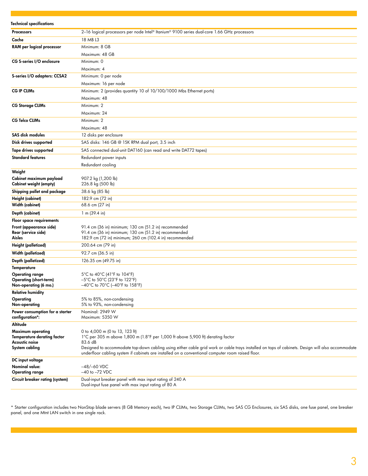| <b>Technical specifications</b>                             |                                                                                                                                                     |
|-------------------------------------------------------------|-----------------------------------------------------------------------------------------------------------------------------------------------------|
| <b>Processors</b>                                           | 2-16 logical processors per node Intel® Itanium® 9100 series dual-core 1.66 GHz processors                                                          |
| Cache                                                       | 18 MB L3                                                                                                                                            |
| RAM per logical processor                                   | Minimum: 8 GB                                                                                                                                       |
|                                                             | Maximum: 48 GB                                                                                                                                      |
| <b>CG S-series I/O enclosure</b>                            | Minimum: 0                                                                                                                                          |
|                                                             | Maximum: 4                                                                                                                                          |
| S-series I/O adapters: CCSA2                                | Minimum: 0 per node                                                                                                                                 |
|                                                             | Maximum: 16 per node                                                                                                                                |
| <b>CG IP CLIMs</b>                                          | Minimum: 2 (provides quantity 10 of 10/100/1000 Mbs Ethernet ports)                                                                                 |
|                                                             | Maximum: 48                                                                                                                                         |
| <b>CG Storage CLIMs</b>                                     | Minimum: 2                                                                                                                                          |
|                                                             | Maximum: 24                                                                                                                                         |
| <b>CG Telco CLIMs</b>                                       | Minimum: 2                                                                                                                                          |
|                                                             | Maximum: 48                                                                                                                                         |
| <b>SAS disk modules</b>                                     | 12 disks per enclosure                                                                                                                              |
| Disk drives supported                                       | SAS disks: 146 GB @ 15K RPM dual port, 3.5 inch                                                                                                     |
| <b>Tape drives supported</b>                                | SAS connected dual-unit DAT160 (can read and write DAT72 tapes)                                                                                     |
| <b>Standard features</b>                                    | Redundant power inputs                                                                                                                              |
|                                                             | Redundant cooling                                                                                                                                   |
| Weight                                                      |                                                                                                                                                     |
| Cabinet maximum payload<br>Cabinet weight (empty)           | 907.2 kg (1,200 lb)<br>226.8 kg (500 lb)                                                                                                            |
| Shipping pallet and package                                 | 38.6 kg (85 lb)                                                                                                                                     |
| <b>Height (cabinet)</b>                                     | 182.9 cm (72 in)                                                                                                                                    |
| Width (cabinet)                                             | 68.6 cm (27 in)                                                                                                                                     |
| Depth (cabinet)                                             | 1 m (39.4 in)                                                                                                                                       |
| <b>Floor space requirements</b>                             |                                                                                                                                                     |
| Front (appearance side)<br>Rear (service side)              | 91.4 cm (36 in) minimum; 130 cm (51.2 in) recommended<br>91.4 cm (36 in) minimum; 130 cm (51.2 in) recommended                                      |
| Aisles                                                      | 182.9 cm (72 in) minimum; 260 cm (102.4 in) recommended                                                                                             |
| Height (palletized)                                         | 200.64 cm (79 in)                                                                                                                                   |
| Width (palletized)                                          | 92.7 cm (36.5 in)                                                                                                                                   |
| Depth (palletized)                                          | 126.35 cm (49.75 in)                                                                                                                                |
| Temperature                                                 |                                                                                                                                                     |
| <b>Operating range</b>                                      | 5°C to 40°C (41°F to 104°F)                                                                                                                         |
| <b>Operating (short-term)</b><br>Non-operating (6 mo.)      | $-5^{\circ}$ C to $50^{\circ}$ C (23 $^{\circ}$ F to 122 $^{\circ}$ F)<br>$-40^{\circ}$ C to 70 $^{\circ}$ C ( $-40^{\circ}$ F to 158 $^{\circ}$ F) |
| <b>Relative humidity</b>                                    |                                                                                                                                                     |
| Operating                                                   | 5% to 85%, non-condensing                                                                                                                           |
| Non-operating                                               | 5% to 93%, non-condensing                                                                                                                           |
| Power consumption for a starter<br>configuration*:          | Nominal: 2949 W<br>Maximum: 5350 W                                                                                                                  |
| Altitude                                                    |                                                                                                                                                     |
| Maximum operating                                           | 0 to 4,000 m (0 to 13, 123 ft)                                                                                                                      |
| <b>Temperature derating factor</b><br><b>Acoustic noise</b> | 1°C per 305 m above 1,800 m (1.8°F per 1,000 ft above 5,900 ft) derating factor<br>83.6 dB                                                          |
| System cabling                                              | Designed to accommodate top-down cabling using either cable grid work or cable trays installed on tops of cabinets. Design will also accommodate    |
|                                                             | underfloor cabling system if cabinets are installed on a conventional computer room raised floor.                                                   |
| DC input voltage                                            |                                                                                                                                                     |
| Nominal value:<br><b>Operating range</b>                    | $-48/-60$ VDC<br>$-40$ to $-72$ VDC                                                                                                                 |
| Circuit breaker rating (system)                             | Dual-input breaker panel with max input rating of 240 A                                                                                             |
|                                                             | Dual-input fuse panel with max input rating of 80 A                                                                                                 |

\* Starter configuration includes two NonStop blade servers (8 GB Memory each), two IP CLIMs, two Storage CLIMs, two SAS CG Enclosures, six SAS disks, one fuse panel, one breaker panel, and one Mtnt LAN switch in one single rack.